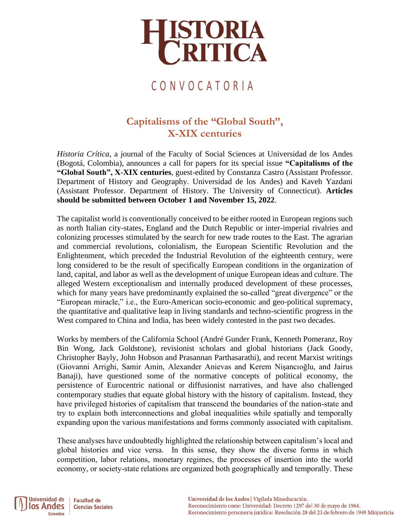

### C O N V O C A T O R I A

### **Capitalisms of the "Global South", X-XIX centuries**

*Historia Crítica*, a journal of the Faculty of Social Sciences at Universidad de los Andes (Bogotá, Colombia), announces a call for papers for its special issue **"Capitalisms of the "Global South", X-XIX centuries**, guest-edited by Constanza Castro (Assistant Professor. Department of History and Geography. Universidad de los Andes) and Kaveh Yazdani (Assistant Professor. Department of History. The University of Connecticut). **Articles should be submitted between October 1 and November 15, 2022**.

The capitalist world is conventionally conceived to be either rooted in European regions such as north Italian city-states, England and the Dutch Republic or inter-imperial rivalries and colonizing processes stimulated by the search for new trade routes to the East. The agrarian and commercial revolutions, colonialism, the European Scientific Revolution and the Enlightenment, which preceded the Industrial Revolution of the eighteenth century, were long considered to be the result of specifically European conditions in the organization of land, capital, and labor as well as the development of unique European ideas and culture. The alleged Western exceptionalism and internally produced development of these processes, which for many years have predominantly explained the so-called "great divergence" or the "European miracle," i.e., the Euro-American socio-economic and geo-political supremacy, the quantitative and qualitative leap in living standards and techno-scientific progress in the West compared to China and India, has been widely contested in the past two decades.

Works by members of the California School (André Gunder Frank, Kenneth Pomeranz, Roy Bin Wong, Jack Goldstone), revisionist scholars and global historians (Jack Goody, Christopher Bayly, John Hobson and Prasannan Parthasarathi), and recent Marxist writings (Giovanni Arrighi, Samir Amin, Alexander Anievas and Kerem Nişancıoğlu, and Jairus Banaji), have questioned some of the normative concepts of political economy, the persistence of Eurocentric national or diffusionist narratives, and have also challenged contemporary studies that equate global history with the history of capitalism. Instead, they have privileged histories of capitalism that transcend the boundaries of the nation-state and try to explain both interconnections and global inequalities while spatially and temporally expanding upon the various manifestations and forms commonly associated with capitalism.

These analyses have undoubtedly highlighted the relationship between capitalism's local and global histories and vice versa. In this sense, they show the diverse forms in which competition, labor relations, monetary regimes, the processes of insertion into the world economy, or society-state relations are organized both geographically and temporally. These

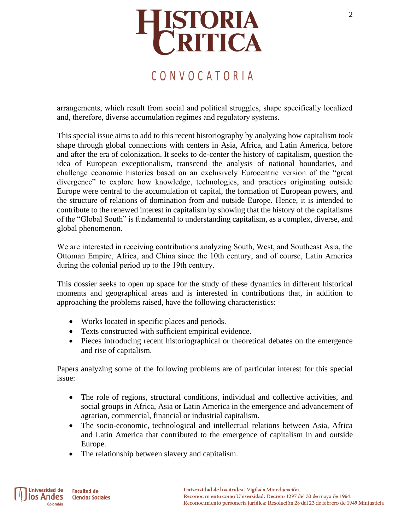

### C O N V O C A T O R I A

arrangements, which result from social and political struggles, shape specifically localized and, therefore, diverse accumulation regimes and regulatory systems.

This special issue aims to add to this recent historiography by analyzing how capitalism took shape through global connections with centers in Asia, Africa, and Latin America, before and after the era of colonization. It seeks to de-center the history of capitalism, question the idea of European exceptionalism, transcend the analysis of national boundaries, and challenge economic histories based on an exclusively Eurocentric version of the "great divergence" to explore how knowledge, technologies, and practices originating outside Europe were central to the accumulation of capital, the formation of European powers, and the structure of relations of domination from and outside Europe. Hence, it is intended to contribute to the renewed interest in capitalism by showing that the history of the capitalisms of the "Global South" is fundamental to understanding capitalism, as a complex, diverse, and global phenomenon.

We are interested in receiving contributions analyzing South, West, and Southeast Asia, the Ottoman Empire, Africa, and China since the 10th century, and of course, Latin America during the colonial period up to the 19th century.

This dossier seeks to open up space for the study of these dynamics in different historical moments and geographical areas and is interested in contributions that, in addition to approaching the problems raised, have the following characteristics:

- Works located in specific places and periods.
- Texts constructed with sufficient empirical evidence.
- Pieces introducing recent historiographical or theoretical debates on the emergence and rise of capitalism.

Papers analyzing some of the following problems are of particular interest for this special issue:

- The role of regions, structural conditions, individual and collective activities, and social groups in Africa, Asia or Latin America in the emergence and advancement of agrarian, commercial, financial or industrial capitalism.
- The socio-economic, technological and intellectual relations between Asia, Africa and Latin America that contributed to the emergence of capitalism in and outside Europe.
- The relationship between slavery and capitalism.